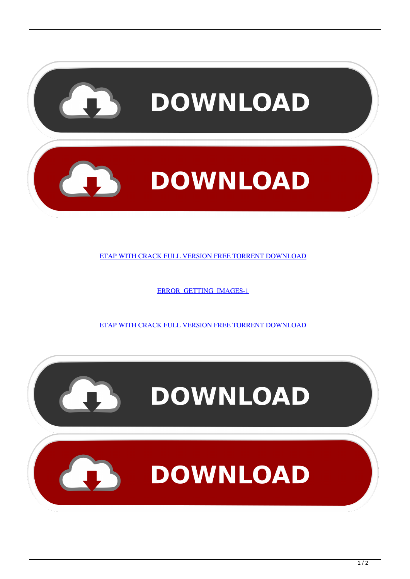

[ERROR\\_GETTING\\_IMAGES-1](http://tweeat.com/17l9ya)

[ETAP WITH CRACK FULL VERSION FREE TORRENT DOWNLOAD](http://tweeat.com/17l9ya)

**DOWNLOAD**